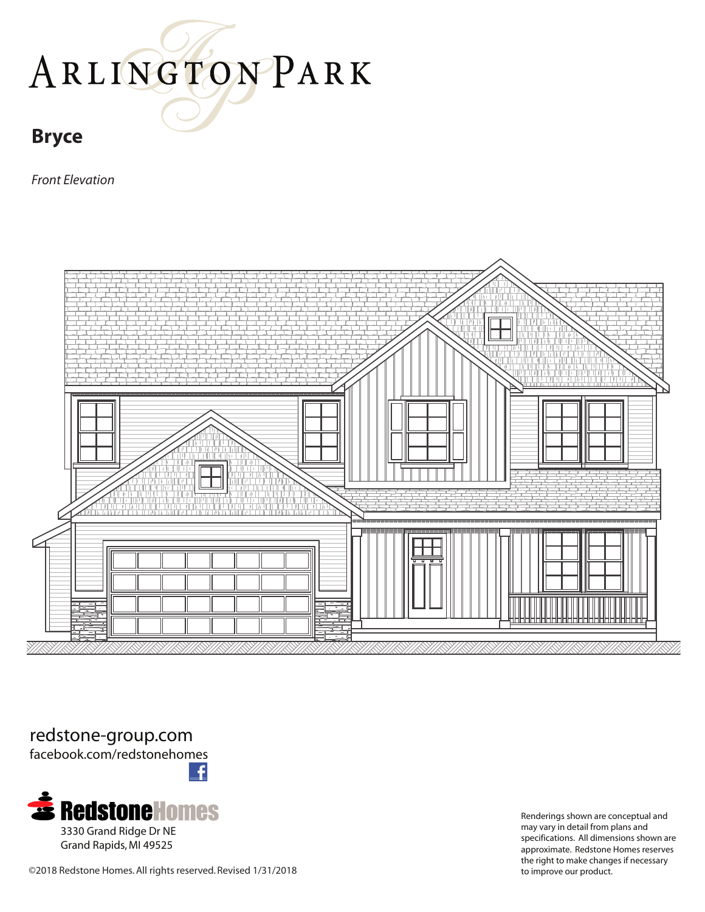### **Bryce**

*Front Elevation*



#### redstone-group.com

facebook.com/redstonehomes



Renderings shown are conceptual and may vary in detail from plans and specifications. All dimensions shown are approximate. Redstone Homes reserves the right to make changes if necessary

©2018 Redstone Homes. All rights reserved. Revised 1/31/2018 to improve our product.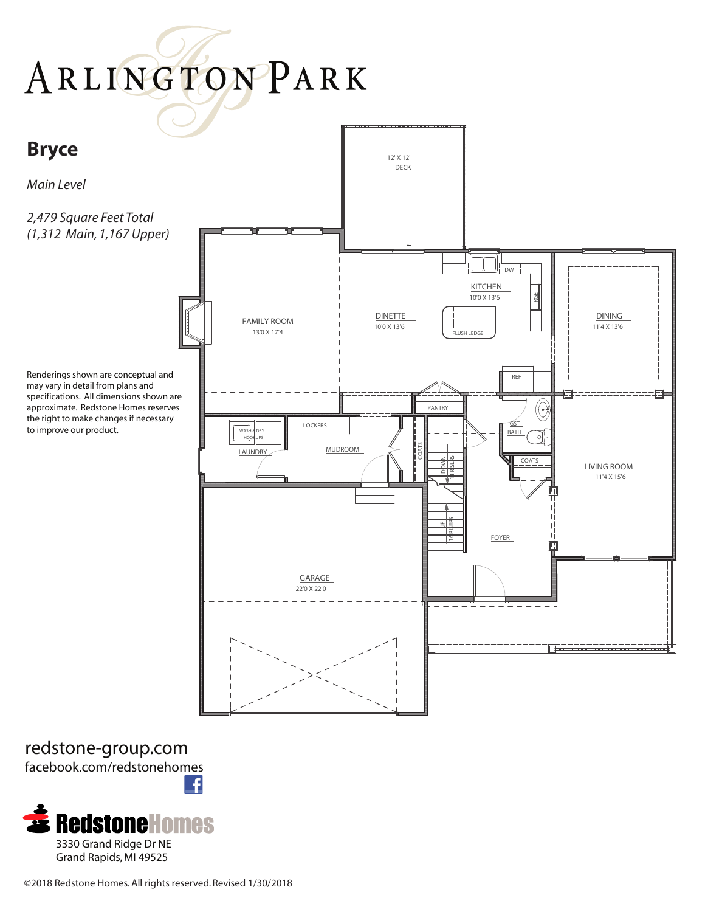

redstone-group.com facebook.com/redstonehomes £

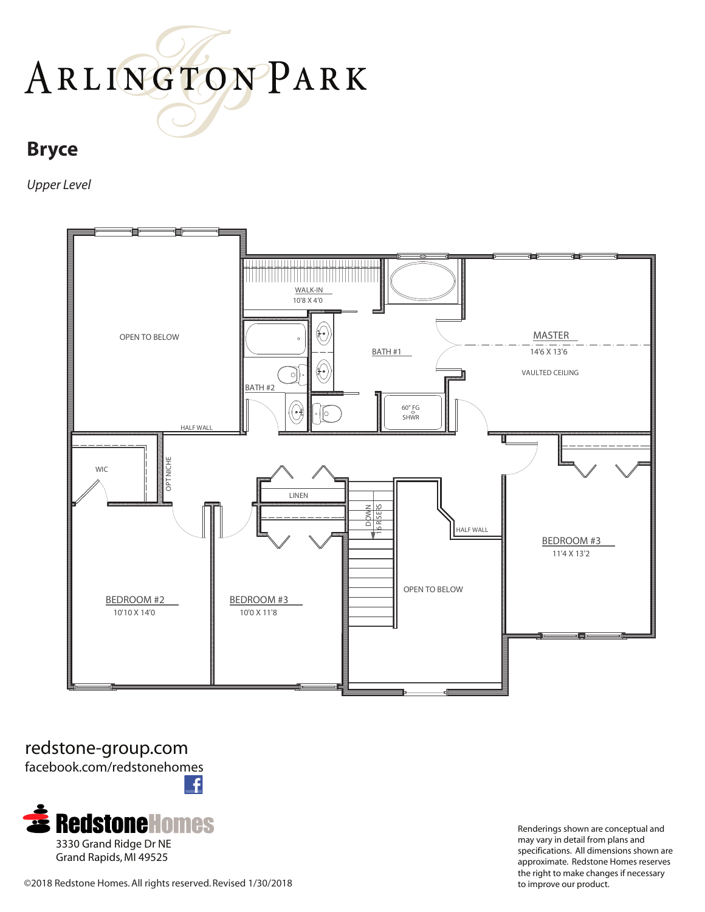### **Bryce**

*Upper Level*



redstone-group.com facebook.com/redstonehomes £



Renderings shown are conceptual and may vary in detail from plans and specifications. All dimensions shown are approximate. Redstone Homes reserves the right to make changes if necessary

©2018 Redstone Homes. All rights reserved. Revised 1/30/2018 to improve our product.